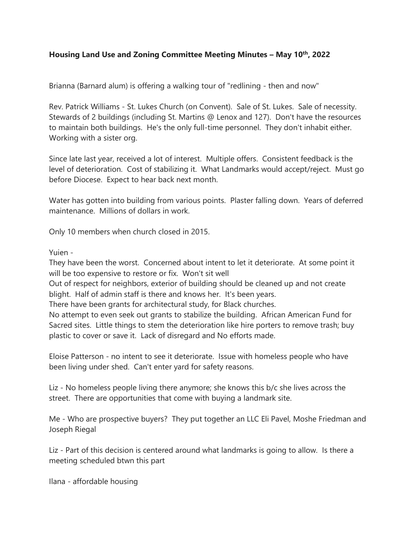## **Housing Land Use and Zoning Committee Meeting Minutes – May 10th, 2022**

Brianna (Barnard alum) is offering a walking tour of "redlining - then and now"

Rev. Patrick Williams - St. Lukes Church (on Convent). Sale of St. Lukes. Sale of necessity. Stewards of 2 buildings (including St. Martins @ Lenox and 127). Don't have the resources to maintain both buildings. He's the only full-time personnel. They don't inhabit either. Working with a sister org.

Since late last year, received a lot of interest. Multiple offers. Consistent feedback is the level of deterioration. Cost of stabilizing it. What Landmarks would accept/reject. Must go before Diocese. Expect to hear back next month.

Water has gotten into building from various points. Plaster falling down. Years of deferred maintenance. Millions of dollars in work.

Only 10 members when church closed in 2015.

Yuien -

They have been the worst. Concerned about intent to let it deteriorate. At some point it will be too expensive to restore or fix. Won't sit well

Out of respect for neighbors, exterior of building should be cleaned up and not create blight. Half of admin staff is there and knows her. It's been years.

There have been grants for architectural study, for Black churches.

No attempt to even seek out grants to stabilize the building. African American Fund for Sacred sites. Little things to stem the deterioration like hire porters to remove trash; buy plastic to cover or save it. Lack of disregard and No efforts made.

Eloise Patterson - no intent to see it deteriorate. Issue with homeless people who have been living under shed. Can't enter yard for safety reasons.

Liz - No homeless people living there anymore; she knows this b/c she lives across the street. There are opportunities that come with buying a landmark site.

Me - Who are prospective buyers? They put together an LLC Eli Pavel, Moshe Friedman and Joseph Riegal

Liz - Part of this decision is centered around what landmarks is going to allow. Is there a meeting scheduled btwn this part

Ilana - affordable housing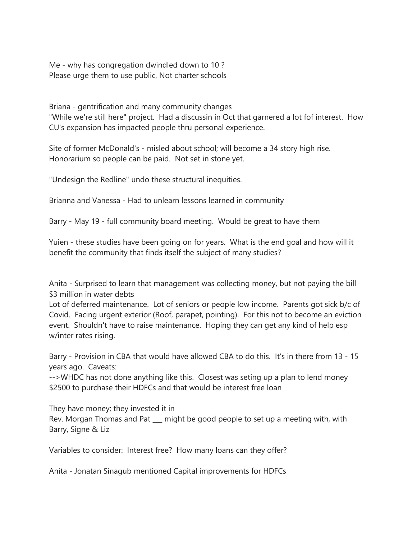Me - why has congregation dwindled down to 10 ? Please urge them to use public, Not charter schools

Briana - gentrification and many community changes

"While we're still here" project. Had a discussin in Oct that garnered a lot fof interest. How CU's expansion has impacted people thru personal experience.

Site of former McDonald's - misled about school; will become a 34 story high rise. Honorarium so people can be paid. Not set in stone yet.

"Undesign the Redline" undo these structural inequities.

Brianna and Vanessa - Had to unlearn lessons learned in community

Barry - May 19 - full community board meeting. Would be great to have them

Yuien - these studies have been going on for years. What is the end goal and how will it benefit the community that finds itself the subject of many studies?

Anita - Surprised to learn that management was collecting money, but not paying the bill \$3 million in water debts

Lot of deferred maintenance. Lot of seniors or people low income. Parents got sick b/c of Covid. Facing urgent exterior (Roof, parapet, pointing). For this not to become an eviction event. Shouldn't have to raise maintenance. Hoping they can get any kind of help esp w/inter rates rising.

Barry - Provision in CBA that would have allowed CBA to do this. It's in there from 13 - 15 years ago. Caveats:

-->WHDC has not done anything like this. Closest was seting up a plan to lend money \$2500 to purchase their HDFCs and that would be interest free loan

They have money; they invested it in Rev. Morgan Thomas and Pat \_\_\_ might be good people to set up a meeting with, with Barry, Signe & Liz

Variables to consider: Interest free? How many loans can they offer?

Anita - Jonatan Sinagub mentioned Capital improvements for HDFCs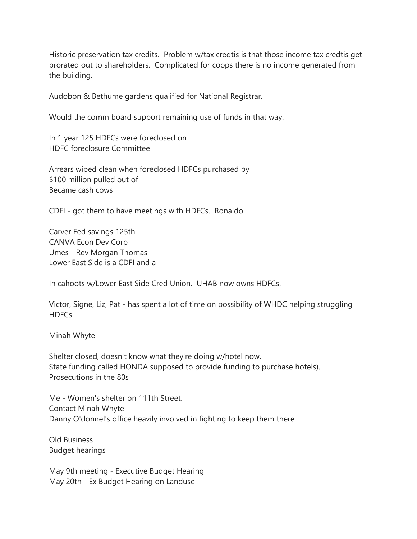Historic preservation tax credits. Problem w/tax credtis is that those income tax credtis get prorated out to shareholders. Complicated for coops there is no income generated from the building.

Audobon & Bethume gardens qualified for National Registrar.

Would the comm board support remaining use of funds in that way.

In 1 year 125 HDFCs were foreclosed on HDFC foreclosure Committee

Arrears wiped clean when foreclosed HDFCs purchased by \$100 million pulled out of Became cash cows

CDFI - got them to have meetings with HDFCs. Ronaldo

Carver Fed savings 125th CANVA Econ Dev Corp Umes - Rev Morgan Thomas Lower East Side is a CDFI and a

In cahoots w/Lower East Side Cred Union. UHAB now owns HDFCs.

Victor, Signe, Liz, Pat - has spent a lot of time on possibility of WHDC helping struggling HDFCs.

Minah Whyte

Shelter closed, doesn't know what they're doing w/hotel now. State funding called HONDA supposed to provide funding to purchase hotels). Prosecutions in the 80s

Me - Women's shelter on 111th Street. Contact Minah Whyte Danny O'donnel's office heavily involved in fighting to keep them there

Old Business Budget hearings

May 9th meeting - Executive Budget Hearing May 20th - Ex Budget Hearing on Landuse